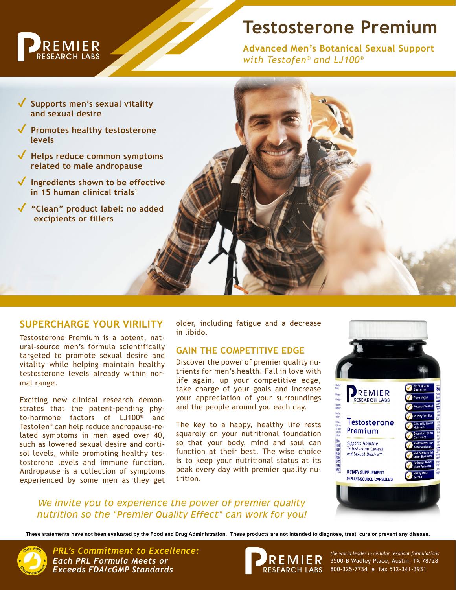

# **Testosterone Premium**

**Advanced Men's Botanical Sexual Support** *with Testofen® and LJ100®*

**✔ Supports men's sexual vitality and sexual desire ✔ Promotes healthy testosterone levels ✔ Helps reduce common symptoms related to male andropause ✔ Ingredients shown to be effective in 15 human clinical trials1 ✔ "Clean" product label: no added excipients or fillers**

# **SUPERCHARGE YOUR VIRILITY**

Testosterone Premium is a potent, natural-source men's formula scientifically targeted to promote sexual desire and vitality while helping maintain healthy testosterone levels already within normal range.

Exciting new clinical research demonstrates that the patent-pending phyto-hormone factors of LJ100® and Testofen® can help reduce andropause-related symptoms in men aged over 40, such as lowered sexual desire and cortisol levels, while promoting healthy testosterone levels and immune function. Andropause is a collection of symptoms experienced by some men as they get

older, including fatigue and a decrease in libido.

## **GAIN THE COMPETITIVE EDGE**

Discover the power of premier quality nutrients for men's health. Fall in love with life again, up your competitive edge, take charge of your goals and increase your appreciation of your surroundings and the people around you each day.

The key to a happy, healthy life rests squarely on your nutritional foundation so that your body, mind and soul can function at their best. The wise choice is to keep your nutritional status at its peak every day with premier quality nutrition.



*We invite you to experience the power of premier quality nutrition so the "Premier Quality Effect" can work for you!*

**These statements have not been evaluated by the Food and Drug Administration. These products are not intended to diagnose, treat, cure or prevent any disease.**



*PRL's Commitment to Excellence: the world leader in cellular resonant formulations Each PRL Formula Meets or Exceeds FDA/cGMP Standards*



3500-B Wadley Place, Austin, TX 78728 800-325-7734 ● fax 512-341-3931